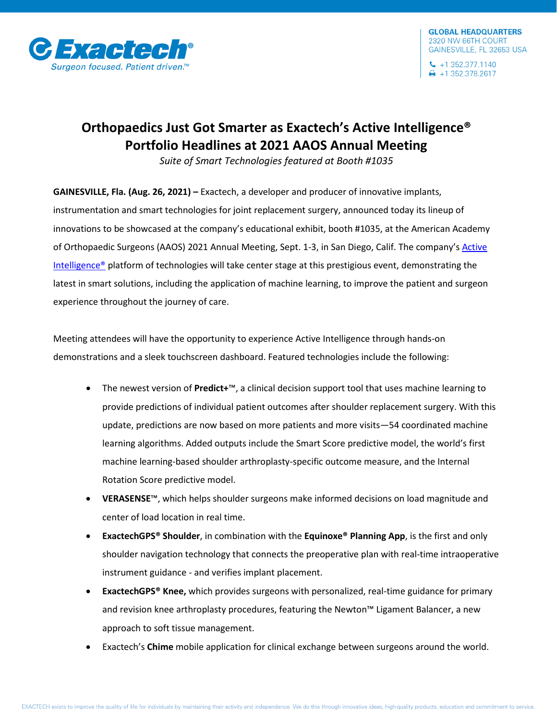

## **Orthopaedics Just Got Smarter as Exactech's Active Intelligence® Portfolio Headlines at 2021 AAOS Annual Meeting**

*Suite of Smart Technologies featured at Booth #1035*

**GAINESVILLE, Fla. (Aug. 26, 2021) –** Exactech, a developer and producer of innovative implants, instrumentation and smart technologies for joint replacement surgery, announced today its lineup of innovations to be showcased at the company's educational exhibit, booth #1035, at the American Academy of Orthopaedic Surgeons (AAOS) 2021 Annual Meeting, Sept. 1-3, in San Diego, Calif. The company's [Active](https://www.exac.com/academy/)  [Intelligence®](https://www.exac.com/academy/) platform of technologies will take center stage at this prestigious event, demonstrating the latest in smart solutions, including the application of machine learning, to improve the patient and surgeon experience throughout the journey of care.

Meeting attendees will have the opportunity to experience Active Intelligence through hands-on demonstrations and a sleek touchscreen dashboard. Featured technologies include the following:

- The newest version of **Predict+**™, a clinical decision support tool that uses machine learning to provide predictions of individual patient outcomes after shoulder replacement surgery. With this update, predictions are now based on more patients and more visits—54 coordinated machine learning algorithms. Added outputs include the Smart Score predictive model, the world's first machine learning-based shoulder arthroplasty-specific outcome measure, and the Internal Rotation Score predictive model.
- **VERASENSE**™, which helps shoulder surgeons make informed decisions on load magnitude and center of load location in real time.
- **ExactechGPS® Shoulder**, in combination with the **Equinoxe® Planning App**, is the first and only shoulder navigation technology that connects the preoperative plan with real-time intraoperative instrument guidance - and verifies implant placement.
- **ExactechGPS® Knee,** which provides surgeons with personalized, real-time guidance for primary and revision knee arthroplasty procedures, featuring the Newton™ Ligament Balancer, a new approach to soft tissue management.
- Exactech's **Chime** mobile application for clinical exchange between surgeons around the world.